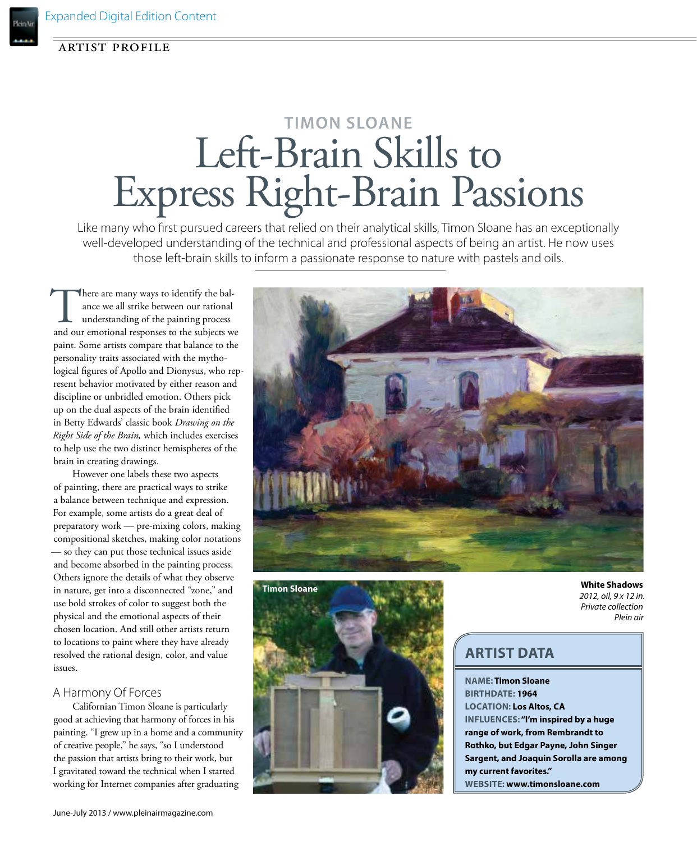## artist profile

# **Timon Sloane** Left-Brain Skills to Express Right-Brain Passions

Like many who first pursued careers that relied on their analytical skills, Timon Sloane has an exceptionally well-developed understanding of the technical and professional aspects of being an artist. He now uses those left-brain skills to inform a passionate response to nature with pastels and oils.

There are many ways to identify the bal-<br>ance we all strike between our rational<br>understanding of the painting process<br>and our emotional responses to the subjects we ance we all strike between our rational understanding of the painting process paint. Some artists compare that balance to the personality traits associated with the mythological figures of Apollo and Dionysus, who represent behavior motivated by either reason and discipline or unbridled emotion. Others pick up on the dual aspects of the brain identified in Betty Edwards' classic book *Drawing on the Right Side of the Brain,* which includes exercises to help use the two distinct hemispheres of the brain in creating drawings.

However one labels these two aspects of painting, there are practical ways to strike a balance between technique and expression. For example, some artists do a great deal of preparatory work — pre-mixing colors, making compositional sketches, making color notations — so they can put those technical issues aside and become absorbed in the painting process. Others ignore the details of what they observe in nature, get into a disconnected "zone," and use bold strokes of color to suggest both the physical and the emotional aspects of their chosen location. And still other artists return to locations to paint where they have already resolved the rational design, color, and value issues.

## A Harmony Of Forces

Californian Timon Sloane is particularly good at achieving that harmony of forces in his painting. "I grew up in a home and a community of creative people," he says, "so I understood the passion that artists bring to their work, but I gravitated toward the technical when I started working for Internet companies after graduating





#### **White Shadows** *2012, oil, 9 x 12 in. Private collection Plein air*

# **artist data**

**Name: Timon Sloane Birthdate: 1964 LOCATION: Los Altos, CA INFLUENCES: "I'm inspired by a huge range of work, from Rembrandt to Rothko, but Edgar Payne, John Singer Sargent, and Joaquin Sorolla are among my current favorites." Website: www.timonsloane.com**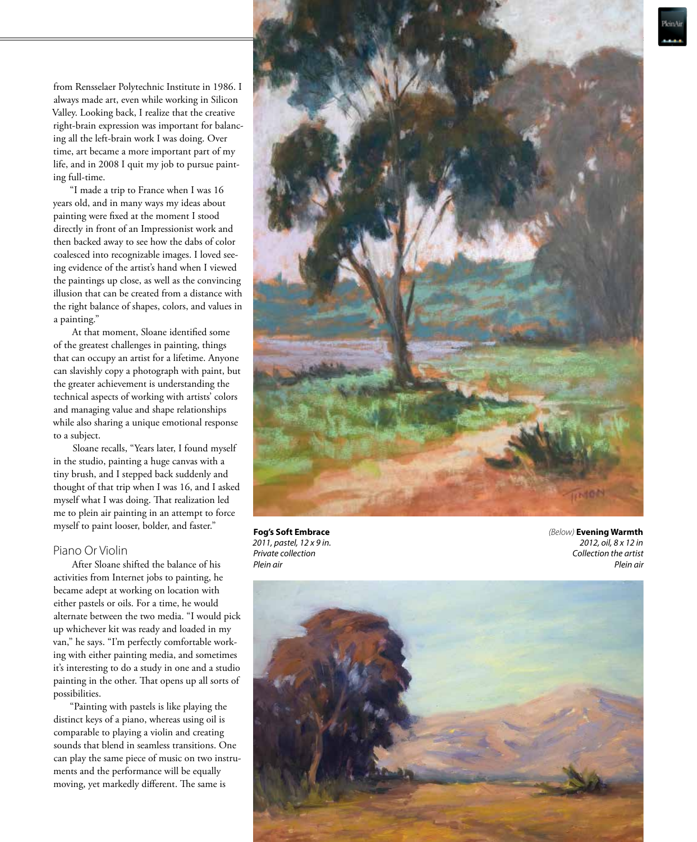from Rensselaer Polytechnic Institute in 1986. I always made art, even while working in Silicon Valley. Looking back, I realize that the creative right-brain expression was important for balanc ing all the left-brain work I was doing. Over time, art became a more important part of my life, and in 2008 I quit my job to pursue paint ing full-time.

"I made a trip to France when I was 16 years old, and in many ways my ideas about painting were fixed at the moment I stood directly in front of an Impressionist work and then backed away to see how the dabs of color coalesced into recognizable images. I loved see ing evidence of the artist's hand when I viewed the paintings up close, as well as the convincing illusion that can be created from a distance with the right balance of shapes, colors, and values in a painting."

At that moment, Sloane identified some of the greatest challenges in painting, things that can occupy an artist for a lifetime. Anyone can slavishly copy a photograph with paint, but the greater achievement is understanding the technical aspects of working with artists' colors and managing value and shape relationships while also sharing a unique emotional response to a subject.

Sloane recalls, "Years later, I found myself in the studio, painting a huge canvas with a tiny brush, and I stepped back suddenly and thought of that trip when I was 16, and I asked myself what I was doing. That realization led me to plein air painting in an attempt to force myself to paint looser, bolder, and faster."

## Piano Or Violin

After Sloane shifted the balance of his activities from Internet jobs to painting, he became adept at working on location with either pastels or oils. For a time, he would alternate between the two media. "I would pick up whichever kit was ready and loaded in my van," he says. "I'm perfectly comfortable work ing with either painting media, and sometimes it's interesting to do a study in one and a studio painting in the other. That opens up all sorts of possibilities.

"Painting with pastels is like playing the distinct keys of a piano, whereas using oil is comparable to playing a violin and creating sounds that blend in seamless transitions. One can play the same piece of music on two instru ments and the performance will be equally moving, yet markedly different. The same is



**Fog's Soft Embrace** *2011, pastel, 12 x 9 in. Private collection Plein air*

*(Below)* **Evening Warmth** *2012, oil, 8 x 12 in Collection the artist Plein air*

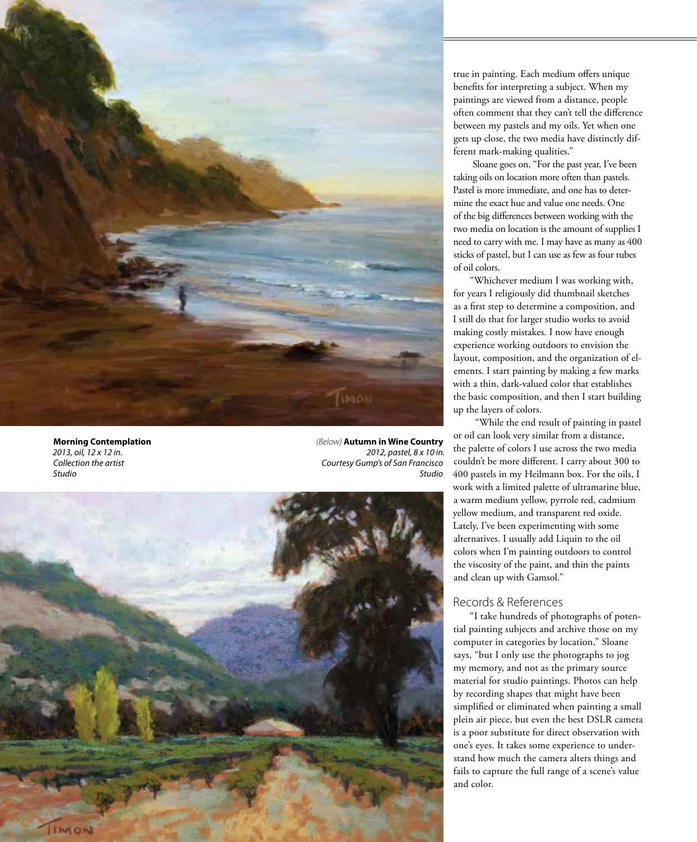

**Morning Contemplation** *2013, oil, 12 x 12 in. Collection the artist Studio*

*(Below)*  **Autumn in Wine Country** *2012, pastel, 8 x 10 in. Courtesy Gump's of San Francisco Studio*



true in painting. Each medium offers unique benefits for interpreting a subject. When my paintings are viewed from a distance, people often comment that they can't tell the difference between my pastels and my oils. Yet when one gets up close, the two media have distinctly different mark-making qualities."

Sloane goes on, "For the past year, I've been taking oils on location more often than pastels. Pastel is more immediate, and one has to deter mine the exact hue and value one needs. One of the big differences between working with the two media on location is the amount of supplies I need to carry with me. I may have as many as 400 sticks of pastel, but I can use as few as four tubes of oil colors.

"Whichever medium I was working with, for years I religiously did thumbnail sketches as a first step to determine a composition, and I still do that for larger studio works to avoid making costly mistakes. I now have enough experience working outdoors to envision the layout, composition, and the organization of el ements. I start painting by making a few marks with a thin, dark-valued color that establishes the basic composition, and then I start building up the layers of colors.

 "While the end result of painting in pastel or oil can look very similar from a distance, the palette of colors I use across the two media couldn't be more different. I carry about 300 to 400 pastels in my Heilmann box. For the oils, I work with a limited palette of ultramarine blue, a warm medium yellow, pyrrole red, cadmium yellow medium, and transparent red oxide. Lately, I've been experimenting with some alternatives. I usually add Liquin to the oil colors when I'm painting outdoors to control the viscosity of the paint, and thin the paints and clean up with Gamsol."

## Records & References

"I take hundreds of photographs of poten tial painting subjects and archive those on my computer in categories by location," Sloane says, "but I only use the photographs to jog my memory, and not as the primary source material for studio paintings. Photos can help by recording shapes that might have been simplified or eliminated when painting a small plein air piece, but even the best DSLR camera is a poor substitute for direct observation with one's eyes. It takes some experience to under stand how much the camera alters things and fails to capture the full range of a scene's value and color.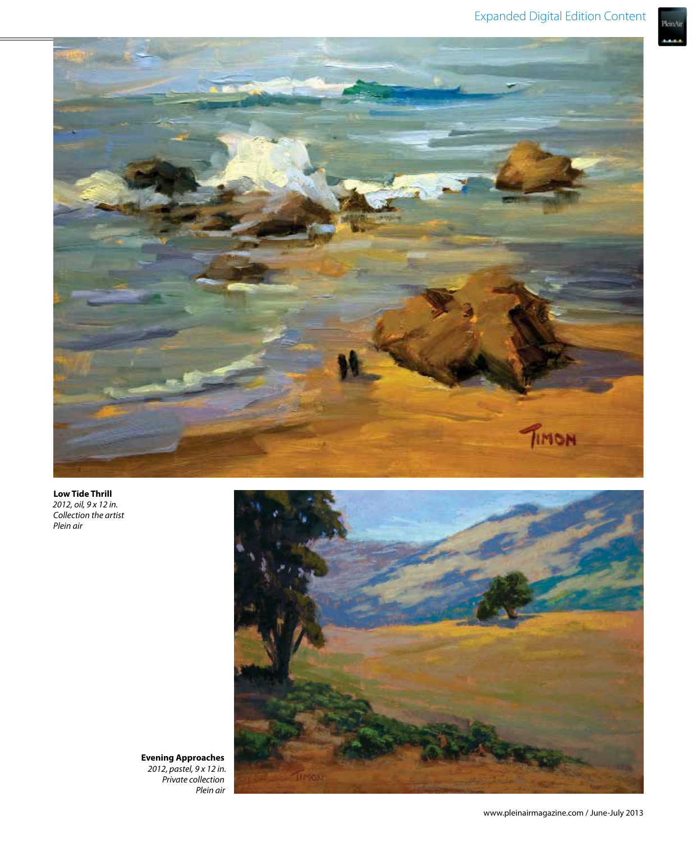.<br>PleinAir



**Low Tide Thrill** *2012, oil, 9 x 12 in. Collection the artist Plein air*



**Evening Approaches** *2012, pastel, 9 x 12 in. Private collection Plein air*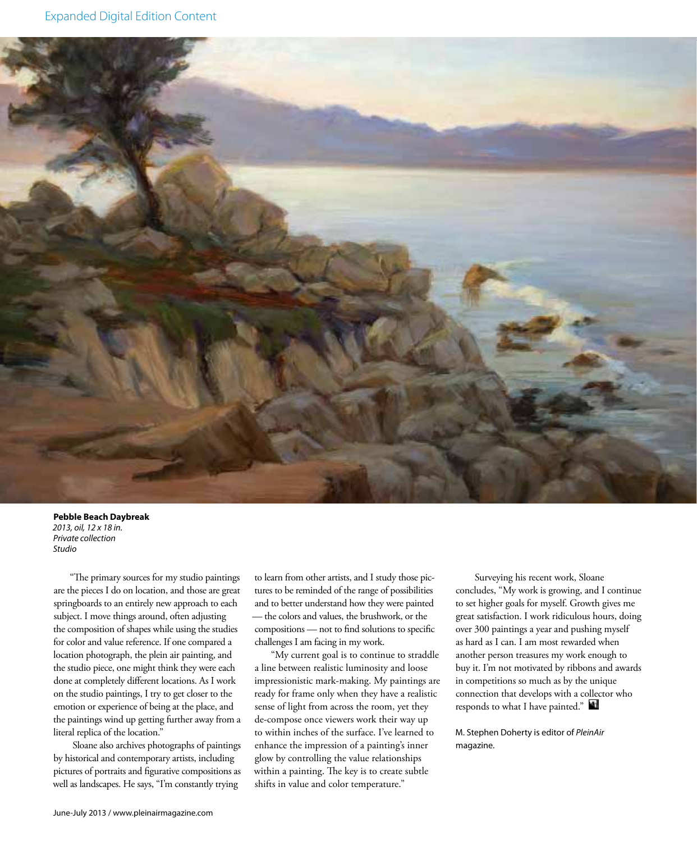

### **Pebble Beach Daybreak** *2013, oil, 12 x 18 in. Private collection Studio*

"The primary sources for my studio paintings are the pieces I do on location, and those are great springboards to an entirely new approach to each subject. I move things around, often adjusting the composition of shapes while using the studies for color and value reference. If one compared a location photograph, the plein air painting, and the studio piece, one might think they were each done at completely different locations. As I work on the studio paintings, I try to get closer to the emotion or experience of being at the place, and the paintings wind up getting further away from a literal replica of the location."

Sloane also archives photographs of paintings by historical and contemporary artists, including pictures of portraits and figurative compositions as well as landscapes. He says, "I'm constantly trying

to learn from other artists, and I study those pictures to be reminded of the range of possibilities and to better understand how they were painted — the colors and values, the brushwork, or the compositions — not to find solutions to specific challenges I am facing in my work.

"My current goal is to continue to straddle a line between realistic luminosity and loose impressionistic mark-making. My paintings are ready for frame only when they have a realistic sense of light from across the room, yet they de-compose once viewers work their way up to within inches of the surface. I've learned to enhance the impression of a painting's inner glow by controlling the value relationships within a painting. The key is to create subtle shifts in value and color temperature."

Surveying his recent work, Sloane concludes, "My work is growing, and I continue to set higher goals for myself. Growth gives me great satisfaction. I work ridiculous hours, doing over 300 paintings a year and pushing myself as hard as I can. I am most rewarded when another person treasures my work enough to buy it. I'm not motivated by ribbons and awards in competitions so much as by the unique connection that develops with a collector who responds to what I have painted."

M. Stephen Doherty is editor of *PleinAir* magazine.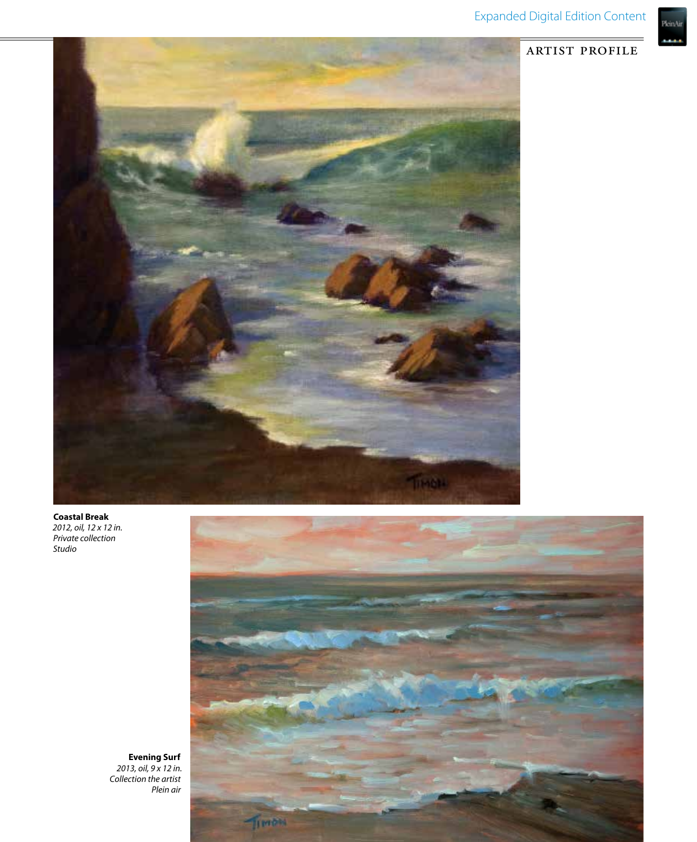.<br>PleinAir



**Coastal Break** *2012, oil, 12 x 12 in. Private collection Studio*



**Evening Surf** *2013, oil, 9 x 12 in. Collection the artist Plein air*